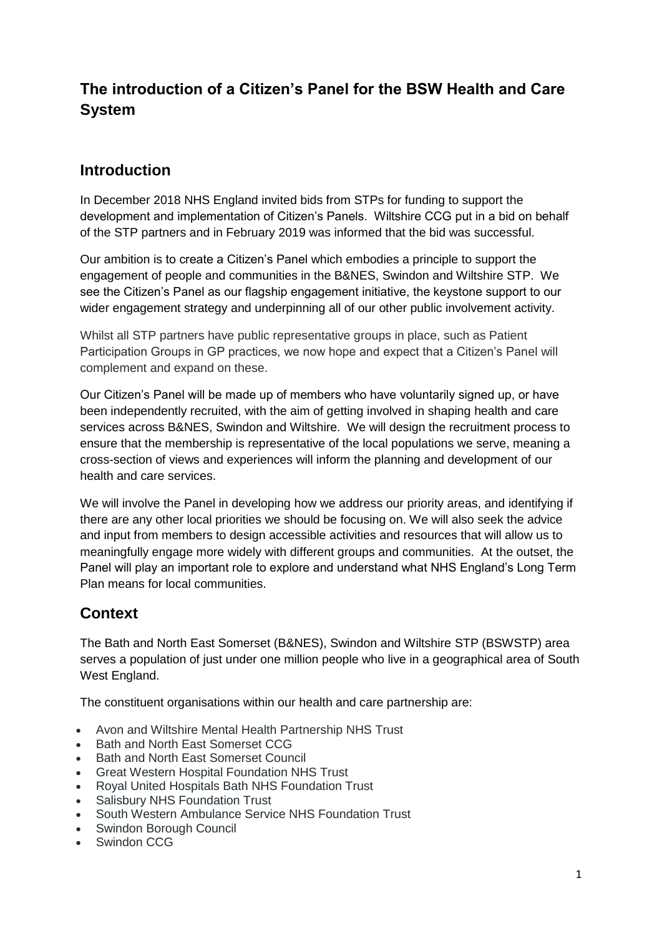# **The introduction of a Citizen's Panel for the BSW Health and Care System**

#### **Introduction**

In December 2018 NHS England invited bids from STPs for funding to support the development and implementation of Citizen's Panels. Wiltshire CCG put in a bid on behalf of the STP partners and in February 2019 was informed that the bid was successful.

Our ambition is to create a Citizen's Panel which embodies a principle to support the engagement of people and communities in the B&NES, Swindon and Wiltshire STP. We see the Citizen's Panel as our flagship engagement initiative, the keystone support to our wider engagement strategy and underpinning all of our other public involvement activity.

Whilst all STP partners have public representative groups in place, such as Patient Participation Groups in GP practices, we now hope and expect that a Citizen's Panel will complement and expand on these.

Our Citizen's Panel will be made up of members who have voluntarily signed up, or have been independently recruited, with the aim of getting involved in shaping health and care services across B&NES, Swindon and Wiltshire. We will design the recruitment process to ensure that the membership is representative of the local populations we serve, meaning a cross-section of views and experiences will inform the planning and development of our health and care services.

We will involve the Panel in developing how we address our priority areas, and identifying if there are any other local priorities we should be focusing on. We will also seek the advice and input from members to design accessible activities and resources that will allow us to meaningfully engage more widely with different groups and communities. At the outset, the Panel will play an important role to explore and understand what NHS England's Long Term Plan means for local communities.

### **Context**

The Bath and North East Somerset (B&NES), Swindon and Wiltshire STP (BSWSTP) area serves a population of just under one million people who live in a geographical area of South West England.

The constituent organisations within our health and care partnership are:

- Avon and Wiltshire Mental Health Partnership NHS Trust
- Bath and North East Somerset CCG
- Bath and North East Somerset Council
- Great Western Hospital Foundation NHS Trust
- Royal United Hospitals Bath NHS Foundation Trust
- Salisbury NHS Foundation Trust
- South Western Ambulance Service NHS Foundation Trust
- Swindon Borough Council
- Swindon CCG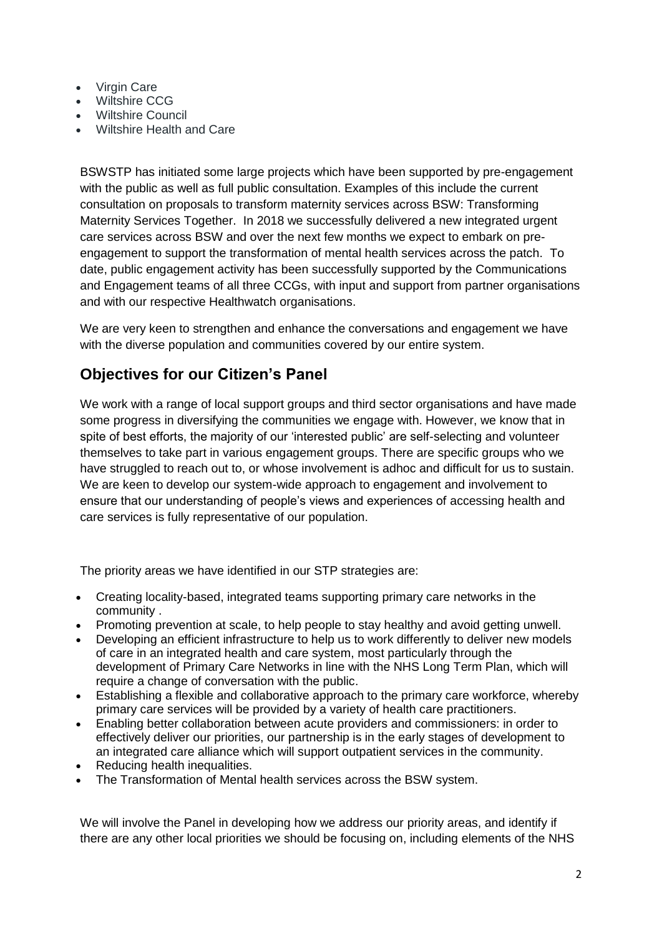- Virgin Care
- Wiltshire CCG
- Wiltshire Council
- Wiltshire Health and Care

BSWSTP has initiated some large projects which have been supported by pre-engagement with the public as well as full public consultation. Examples of this include the current consultation on proposals to transform maternity services across BSW: Transforming Maternity Services Together. In 2018 we successfully delivered a new integrated urgent care services across BSW and over the next few months we expect to embark on preengagement to support the transformation of mental health services across the patch. To date, public engagement activity has been successfully supported by the Communications and Engagement teams of all three CCGs, with input and support from partner organisations and with our respective Healthwatch organisations.

We are very keen to strengthen and enhance the conversations and engagement we have with the diverse population and communities covered by our entire system.

### **Objectives for our Citizen's Panel**

We work with a range of local support groups and third sector organisations and have made some progress in diversifying the communities we engage with. However, we know that in spite of best efforts, the majority of our 'interested public' are self-selecting and volunteer themselves to take part in various engagement groups. There are specific groups who we have struggled to reach out to, or whose involvement is adhoc and difficult for us to sustain. We are keen to develop our system-wide approach to engagement and involvement to ensure that our understanding of people's views and experiences of accessing health and care services is fully representative of our population.

The priority areas we have identified in our STP strategies are:

- Creating locality-based, integrated teams supporting primary care networks in the community .
- Promoting prevention at scale, to help people to stay healthy and avoid getting unwell.
- Developing an efficient infrastructure to help us to work differently to deliver new models of care in an integrated health and care system, most particularly through the development of Primary Care Networks in line with the NHS Long Term Plan, which will require a change of conversation with the public.
- Establishing a flexible and collaborative approach to the primary care workforce, whereby primary care services will be provided by a variety of health care practitioners.
- Enabling better collaboration between acute providers and commissioners: in order to effectively deliver our priorities, our partnership is in the early stages of development to an integrated care alliance which will support outpatient services in the community.
- Reducing health inequalities.
- The Transformation of Mental health services across the BSW system.

We will involve the Panel in developing how we address our priority areas, and identify if there are any other local priorities we should be focusing on, including elements of the NHS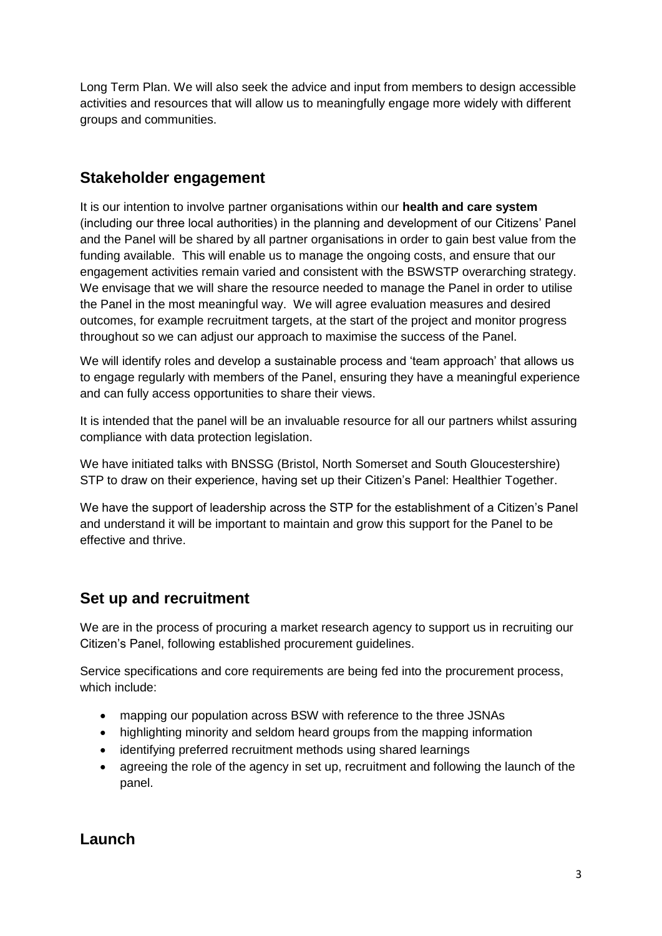Long Term Plan. We will also seek the advice and input from members to design accessible activities and resources that will allow us to meaningfully engage more widely with different groups and communities.

### **Stakeholder engagement**

It is our intention to involve partner organisations within our **health and care system** (including our three local authorities) in the planning and development of our Citizens' Panel and the Panel will be shared by all partner organisations in order to gain best value from the funding available. This will enable us to manage the ongoing costs, and ensure that our engagement activities remain varied and consistent with the BSWSTP overarching strategy. We envisage that we will share the resource needed to manage the Panel in order to utilise the Panel in the most meaningful way. We will agree evaluation measures and desired outcomes, for example recruitment targets, at the start of the project and monitor progress throughout so we can adjust our approach to maximise the success of the Panel.

We will identify roles and develop a sustainable process and 'team approach' that allows us to engage regularly with members of the Panel, ensuring they have a meaningful experience and can fully access opportunities to share their views.

It is intended that the panel will be an invaluable resource for all our partners whilst assuring compliance with data protection legislation.

We have initiated talks with BNSSG (Bristol, North Somerset and South Gloucestershire) STP to draw on their experience, having set up their Citizen's Panel: Healthier Together.

We have the support of leadership across the STP for the establishment of a Citizen's Panel and understand it will be important to maintain and grow this support for the Panel to be effective and thrive.

### **Set up and recruitment**

We are in the process of procuring a market research agency to support us in recruiting our Citizen's Panel, following established procurement guidelines.

Service specifications and core requirements are being fed into the procurement process, which include:

- mapping our population across BSW with reference to the three JSNAs
- highlighting minority and seldom heard groups from the mapping information
- identifying preferred recruitment methods using shared learnings
- agreeing the role of the agency in set up, recruitment and following the launch of the panel.

### **Launch**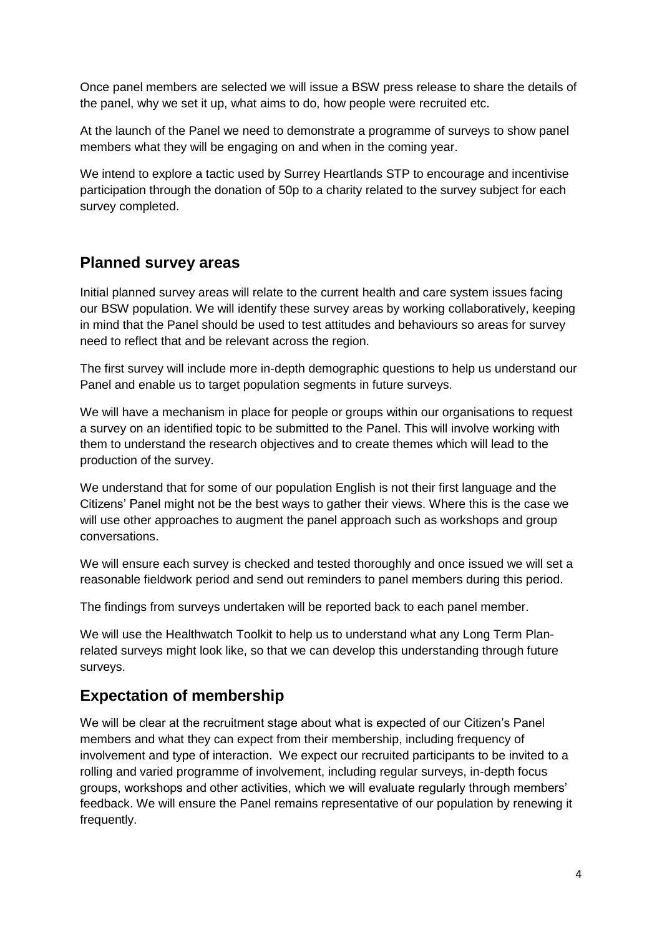Once panel members are selected we will issue a BSW press release to share the details of the panel, why we set it up, what aims to do, how people were recruited etc.

At the launch of the Panel we need to demonstrate a programme of surveys to show panel members what they will be engaging on and when in the coming year.

We intend to explore a tactic used by Surrey Heartlands STP to encourage and incentivise participation through the donation of 50p to a charity related to the survey subject for each survey completed.

#### **Planned survey areas**

Initial planned survey areas will relate to the current health and care system issues facing our BSW population. We will identify these survey areas by working collaboratively, keeping in mind that the Panel should be used to test attitudes and behaviours so areas for survey need to reflect that and be relevant across the region.

The first survey will include more in-depth demographic questions to help us understand our Panel and enable us to target population segments in future surveys.

We will have a mechanism in place for people or groups within our organisations to request a survey on an identified topic to be submitted to the Panel. This will involve working with them to understand the research objectives and to create themes which will lead to the production of the survey.

We understand that for some of our population English is not their first language and the Citizens' Panel might not be the best ways to gather their views. Where this is the case we will use other approaches to augment the panel approach such as workshops and group conversations.

We will ensure each survey is checked and tested thoroughly and once issued we will set a reasonable fieldwork period and send out reminders to panel members during this period.

The findings from surveys undertaken will be reported back to each panel member.

We will use the Healthwatch Toolkit to help us to understand what any Long Term Planrelated surveys might look like, so that we can develop this understanding through future surveys.

#### **Expectation of membership**

We will be clear at the recruitment stage about what is expected of our Citizen's Panel members and what they can expect from their membership, including frequency of involvement and type of interaction. We expect our recruited participants to be invited to a rolling and varied programme of involvement, including regular surveys, in-depth focus groups, workshops and other activities, which we will evaluate regularly through members' feedback. We will ensure the Panel remains representative of our population by renewing it frequently.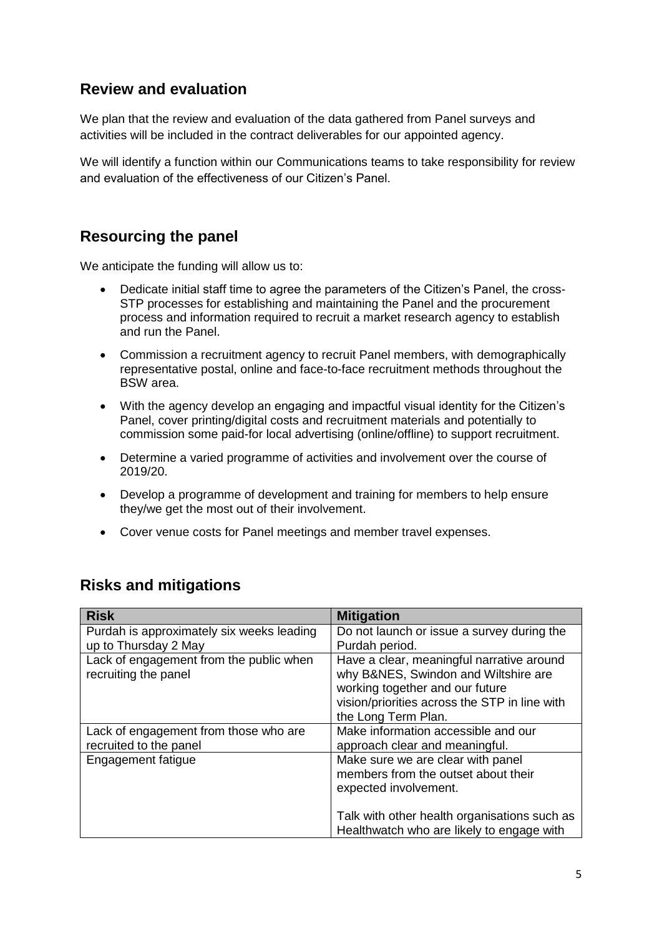#### **Review and evaluation**

We plan that the review and evaluation of the data gathered from Panel surveys and activities will be included in the contract deliverables for our appointed agency.

We will identify a function within our Communications teams to take responsibility for review and evaluation of the effectiveness of our Citizen's Panel.

#### **Resourcing the panel**

We anticipate the funding will allow us to:

- Dedicate initial staff time to agree the parameters of the Citizen's Panel, the cross-STP processes for establishing and maintaining the Panel and the procurement process and information required to recruit a market research agency to establish and run the Panel.
- Commission a recruitment agency to recruit Panel members, with demographically representative postal, online and face-to-face recruitment methods throughout the BSW area.
- With the agency develop an engaging and impactful visual identity for the Citizen's Panel, cover printing/digital costs and recruitment materials and potentially to commission some paid-for local advertising (online/offline) to support recruitment.
- Determine a varied programme of activities and involvement over the course of 2019/20.
- Develop a programme of development and training for members to help ensure they/we get the most out of their involvement.
- Cover venue costs for Panel meetings and member travel expenses.

| <b>Risk</b>                                                       | <b>Mitigation</b>                                                                                                                                                                            |
|-------------------------------------------------------------------|----------------------------------------------------------------------------------------------------------------------------------------------------------------------------------------------|
| Purdah is approximately six weeks leading<br>up to Thursday 2 May | Do not launch or issue a survey during the<br>Purdah period.                                                                                                                                 |
| Lack of engagement from the public when<br>recruiting the panel   | Have a clear, meaningful narrative around<br>why B&NES, Swindon and Wiltshire are<br>working together and our future<br>vision/priorities across the STP in line with<br>the Long Term Plan. |
| Lack of engagement from those who are<br>recruited to the panel   | Make information accessible and our<br>approach clear and meaningful.                                                                                                                        |
| Engagement fatigue                                                | Make sure we are clear with panel<br>members from the outset about their<br>expected involvement.                                                                                            |
|                                                                   | Talk with other health organisations such as<br>Healthwatch who are likely to engage with                                                                                                    |

### **Risks and mitigations**